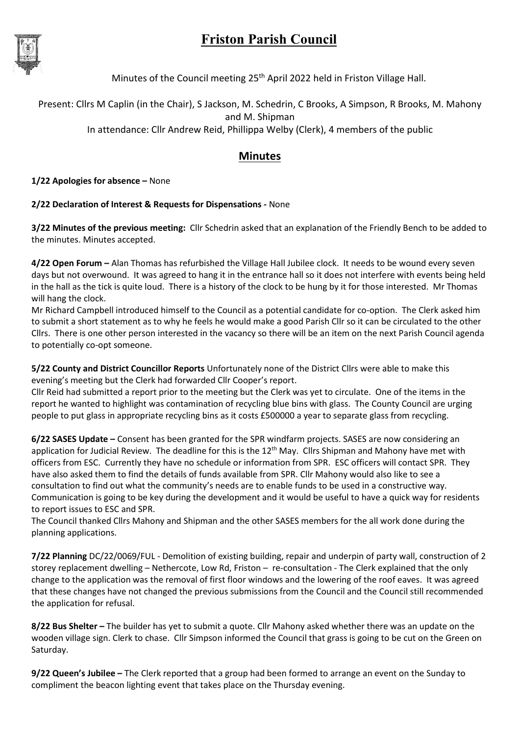## Friston Parish Council



Minutes of the Council meeting 25<sup>th</sup> April 2022 held in Friston Village Hall.

Present: Cllrs M Caplin (in the Chair), S Jackson, M. Schedrin, C Brooks, A Simpson, R Brooks, M. Mahony and M. Shipman

In attendance: Cllr Andrew Reid, Phillippa Welby (Clerk), 4 members of the public

## Minutes

1/22 Apologies for absence – None

## 2/22 Declaration of Interest & Requests for Dispensations - None

3/22 Minutes of the previous meeting: Cllr Schedrin asked that an explanation of the Friendly Bench to be added to the minutes. Minutes accepted.

4/22 Open Forum – Alan Thomas has refurbished the Village Hall Jubilee clock. It needs to be wound every seven days but not overwound. It was agreed to hang it in the entrance hall so it does not interfere with events being held in the hall as the tick is quite loud. There is a history of the clock to be hung by it for those interested. Mr Thomas will hang the clock.

Mr Richard Campbell introduced himself to the Council as a potential candidate for co-option. The Clerk asked him to submit a short statement as to why he feels he would make a good Parish Cllr so it can be circulated to the other Cllrs. There is one other person interested in the vacancy so there will be an item on the next Parish Council agenda to potentially co-opt someone.

5/22 County and District Councillor Reports Unfortunately none of the District Cllrs were able to make this evening's meeting but the Clerk had forwarded Cllr Cooper's report.

Cllr Reid had submitted a report prior to the meeting but the Clerk was yet to circulate. One of the items in the report he wanted to highlight was contamination of recycling blue bins with glass. The County Council are urging people to put glass in appropriate recycling bins as it costs £500000 a year to separate glass from recycling.

6/22 SASES Update – Consent has been granted for the SPR windfarm projects. SASES are now considering an application for Judicial Review. The deadline for this is the  $12<sup>th</sup>$  May. Cllrs Shipman and Mahony have met with officers from ESC. Currently they have no schedule or information from SPR. ESC officers will contact SPR. They have also asked them to find the details of funds available from SPR. Cllr Mahony would also like to see a consultation to find out what the community's needs are to enable funds to be used in a constructive way. Communication is going to be key during the development and it would be useful to have a quick way for residents to report issues to ESC and SPR.

The Council thanked Cllrs Mahony and Shipman and the other SASES members for the all work done during the planning applications.

7/22 Planning DC/22/0069/FUL - Demolition of existing building, repair and underpin of party wall, construction of 2 storey replacement dwelling – Nethercote, Low Rd, Friston – re-consultation - The Clerk explained that the only change to the application was the removal of first floor windows and the lowering of the roof eaves. It was agreed that these changes have not changed the previous submissions from the Council and the Council still recommended the application for refusal.

8/22 Bus Shelter – The builder has yet to submit a quote. Cllr Mahony asked whether there was an update on the wooden village sign. Clerk to chase. Cllr Simpson informed the Council that grass is going to be cut on the Green on Saturday.

9/22 Queen's Jubilee – The Clerk reported that a group had been formed to arrange an event on the Sunday to compliment the beacon lighting event that takes place on the Thursday evening.